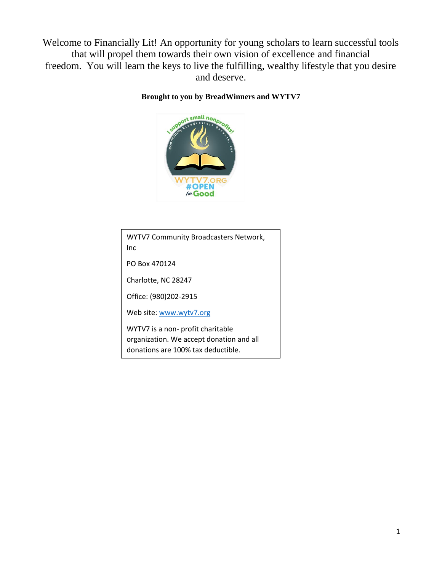Welcome to Financially Lit! An opportunity for young scholars to learn successful tools that will propel them towards their own vision of excellence and financial freedom. You will learn the keys to live the fulfilling, wealthy lifestyle that you desire and deserve.

#### **Brought to you by BreadWinners and WYTV7**



WYTV7 Community Broadcasters Network, Inc PO Box 470124 Charlotte, NC 28247 Office: (980)202-2915 Web site: [www.wytv7.org](http://www.wytv7.org/) WYTV7 is a non- profit charitable organization. We accept donation and all donations are 100% tax deductible.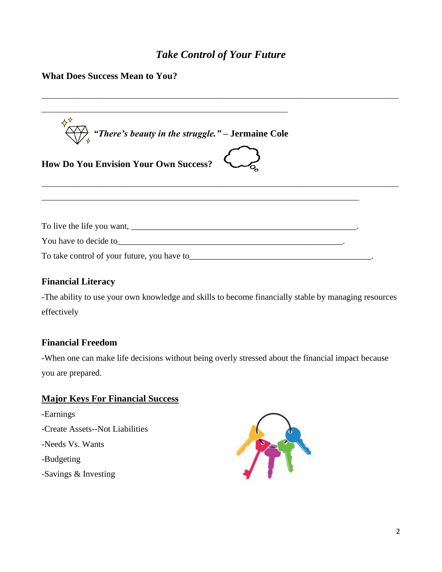# *Take Control of Your Future*

## **What Does Success Mean to You?**

| $\overbrace{\cdot}^{\cdot}$ "There's beauty in the struggle." – Jermaine Cole                                                                                                                                                  |  |
|--------------------------------------------------------------------------------------------------------------------------------------------------------------------------------------------------------------------------------|--|
| <b>How Do You Envision Your Own Success?</b>                                                                                                                                                                                   |  |
|                                                                                                                                                                                                                                |  |
| You have to decide to see that the same state of the same state of the same state of the same state of the same state of the same state of the same state of the same state of the same state of the same state of the same st |  |
|                                                                                                                                                                                                                                |  |

#### **Financial Literacy**

-The ability to use your own knowledge and skills to become financially stable by managing resources effectively

## **Financial Freedom**

-When one can make life decisions without being overly stressed about the financial impact because you are prepared.

## **Major Keys For Financial Success**

-Earnings -Create Assets--Not Liabilities -Needs Vs. Wants -Budgeting -Savings & Investing

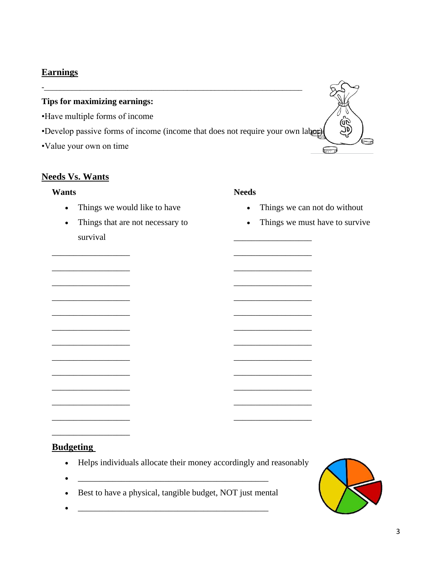## **Earnings**

#### **Tips for maximizing earnings:**

- •Have multiple forms of income
- •Develop passive forms of income (income that does not require your own labor)

-\_\_\_\_\_\_\_\_\_\_\_\_\_\_\_\_\_\_\_\_\_\_\_\_\_\_\_\_\_\_\_\_\_\_\_\_\_\_\_\_\_\_\_\_\_\_\_\_\_\_\_\_\_\_\_\_\_\_\_\_\_\_\_\_\_

•Value your own on time

\_\_\_\_\_\_\_\_\_\_\_\_\_\_\_\_\_\_

\_\_\_\_\_\_\_\_\_\_\_\_\_\_\_\_\_\_

\_\_\_\_\_\_\_\_\_\_\_\_\_\_\_\_\_\_

\_\_\_\_\_\_\_\_\_\_\_\_\_\_\_\_\_\_

\_\_\_\_\_\_\_\_\_\_\_\_\_\_\_\_\_\_

\_\_\_\_\_\_\_\_\_\_\_\_\_\_\_\_\_\_

\_\_\_\_\_\_\_\_\_\_\_\_\_\_\_\_\_\_

\_\_\_\_\_\_\_\_\_\_\_\_\_\_\_\_\_\_

\_\_\_\_\_\_\_\_\_\_\_\_\_\_\_\_\_\_

\_\_\_\_\_\_\_\_\_\_\_\_\_\_\_\_\_\_

\_\_\_\_\_\_\_\_\_\_\_\_\_\_\_\_\_\_

\_\_\_\_\_\_\_\_\_\_\_\_\_\_\_\_\_\_

#### **Needs Vs. Wants**

#### **Wants**

- Things we would like to have
- Things that are not necessary to survival

#### **Needs**

\_\_\_\_\_\_\_\_\_\_\_\_\_\_\_\_\_\_

\_\_\_\_\_\_\_\_\_\_\_\_\_\_\_\_\_\_

\_\_\_\_\_\_\_\_\_\_\_\_\_\_\_\_\_\_

\_\_\_\_\_\_\_\_\_\_\_\_\_\_\_\_\_\_

\_\_\_\_\_\_\_\_\_\_\_\_\_\_\_\_\_\_

\_\_\_\_\_\_\_\_\_\_\_\_\_\_\_\_\_\_

\_\_\_\_\_\_\_\_\_\_\_\_\_\_\_\_\_\_

\_\_\_\_\_\_\_\_\_\_\_\_\_\_\_\_\_\_

\_\_\_\_\_\_\_\_\_\_\_\_\_\_\_\_\_\_

\_\_\_\_\_\_\_\_\_\_\_\_\_\_\_\_\_\_

\_\_\_\_\_\_\_\_\_\_\_\_\_\_\_\_\_\_

\_\_\_\_\_\_\_\_\_\_\_\_\_\_\_\_\_\_

- Things we can not do without
- Things we must have to survive

Gv, رواتي

d

 $\widetilde{\phantom{m}}$ 

## **Budgeting**

- Helps individuals allocate their money accordingly and reasonably
- Best to have a physical, tangible budget, NOT just mental

• \_\_\_\_\_\_\_\_\_\_\_\_\_\_\_\_\_\_\_\_\_\_\_\_\_\_\_\_\_\_\_\_\_\_\_\_\_\_\_\_\_\_\_\_

 $\bullet$   $\qquad \qquad \qquad \qquad \qquad \qquad \qquad \qquad \qquad \qquad \qquad \qquad \qquad \qquad \qquad \qquad \qquad \qquad \qquad \qquad \qquad \qquad \qquad \qquad \qquad \qquad \qquad \qquad \qquad \qquad \qquad \qquad \qquad \qquad \qquad \qquad \qquad \qquad \qquad \qquad \qquad \qquad \qquad \q$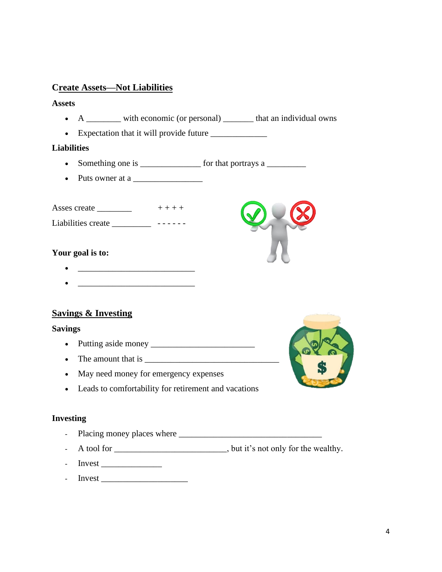## **Create Assets—Not Liabilities**

#### **Assets**

- A \_\_\_\_\_\_\_\_\_ with economic (or personal) \_\_\_\_\_\_\_\_ that an individual owns
- Expectation that it will provide future \_\_\_\_\_\_\_\_\_\_\_\_\_

#### **Liabilities**

- Something one is \_\_\_\_\_\_\_\_\_\_\_\_\_\_\_\_ for that portrays a \_\_\_\_\_\_\_\_\_\_\_\_\_\_\_\_\_\_\_\_\_\_\_\_
- Puts owner at a \_\_\_\_\_\_\_\_\_\_\_\_\_\_\_\_

Asses create  $\frac{1}{1}$  + + + + +

Liabilities create \_\_\_\_\_\_\_\_\_\_\_\_\_\_\_ ------

#### **Your goal is to:**

- \_\_\_\_\_\_\_\_\_\_\_\_\_\_\_\_\_\_\_\_\_\_\_\_\_\_\_
- 

## **Savings & Investing**

#### **Savings**

- Putting aside money \_\_\_\_\_\_\_\_\_\_\_\_\_\_\_\_\_\_\_\_\_\_\_\_
- The amount that is  $\blacksquare$
- May need money for emergency expenses
- Leads to comfortability for retirement and vacations

#### **Investing**

- Placing money places where \_\_\_\_\_\_\_\_\_\_\_\_\_\_\_\_\_\_\_\_\_\_\_\_\_\_\_\_\_\_\_\_\_
- A tool for \_\_\_\_\_\_\_\_\_\_\_\_\_\_\_\_\_\_\_\_\_\_\_\_\_\_, but it's not only for the wealthy.
- Invest \_\_\_\_\_\_\_\_\_\_\_\_\_\_
- Invest



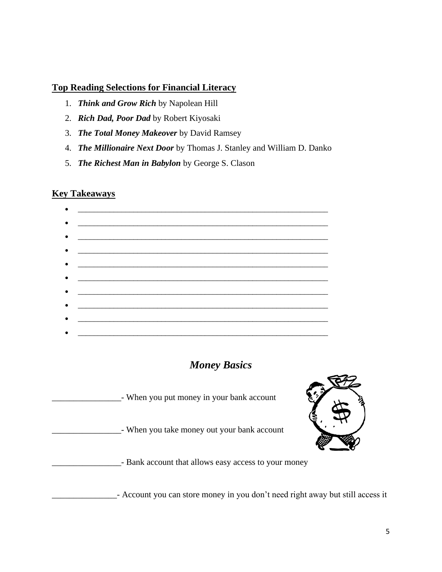## **Top Reading Selections for Financial Literacy**

- 1. *Think and Grow Rich* by Napolean Hill
- 2. *Rich Dad, Poor Dad* by Robert Kiyosaki
- 3. *The Total Money Makeover* by David Ramsey
- 4. *The Millionaire Next Door* by Thomas J. Stanley and William D. Danko
- 5. *The Richest Man in Babylon* by George S. Clason

#### **Key Takeaways**

| $\bullet$ $\_\_$                           |
|--------------------------------------------|
|                                            |
|                                            |
|                                            |
| • <u>—————————————————————————————————</u> |
|                                            |
|                                            |
|                                            |
|                                            |
|                                            |
|                                            |
|                                            |
|                                            |
|                                            |
|                                            |

# *Money Basics*

\_\_\_\_\_\_\_\_\_\_\_\_\_\_\_\_- When you put money in your bank account

\_\_\_\_\_\_\_\_\_\_\_\_\_\_\_\_- When you take money out your bank account



\_\_\_\_\_\_\_\_\_\_\_\_\_\_\_\_- Bank account that allows easy access to your money

- Account you can store money in you don't need right away but still access it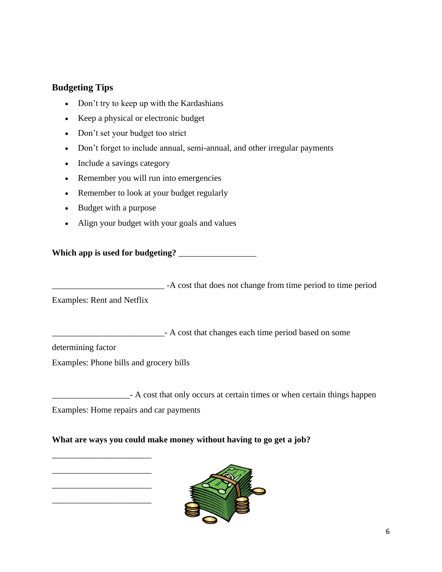## **Budgeting Tips**

- Don't try to keep up with the Kardashians
- Keep a physical or electronic budget
- Don't set your budget too strict
- Don't forget to include annual, semi-annual, and other irregular payments
- Include a savings category
- Remember you will run into emergencies
- Remember to look at your budget regularly
- Budget with a purpose
- Align your budget with your goals and values

## **Which app is used for budgeting?** \_\_\_\_\_\_\_\_\_\_\_\_\_\_\_\_\_\_

\_\_\_\_\_\_\_\_\_\_\_\_\_\_\_\_\_\_\_\_\_\_\_\_\_\_ -A cost that does not change from time period to time period

Examples: Rent and Netflix

\_\_\_\_\_\_\_\_\_\_\_\_\_\_\_\_\_\_\_\_\_\_\_\_\_\_- A cost that changes each time period based on some

determining factor

Examples: Phone bills and grocery bills

**Example 2** - A cost that only occurs at certain times or when certain things happen

Examples: Home repairs and car payments

\_\_\_\_\_\_\_\_\_\_\_\_\_\_\_\_\_\_\_\_\_\_\_

\_\_\_\_\_\_\_\_\_\_\_\_\_\_\_\_\_\_\_\_\_\_\_

\_\_\_\_\_\_\_\_\_\_\_\_\_\_\_\_\_\_\_\_\_\_\_

\_\_\_\_\_\_\_\_\_\_\_\_\_\_\_\_\_\_\_\_\_\_\_

#### **What are ways you could make money without having to go get a job?**

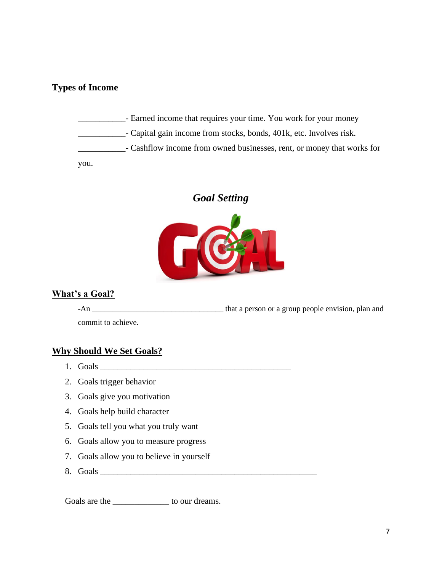## **Types of Income**

\_\_\_\_\_\_\_\_\_\_\_- Earned income that requires your time. You work for your money \_\_\_\_\_\_\_\_\_\_\_- Capital gain income from stocks, bonds, 401k, etc. Involves risk. **Example 1** Cashflow income from owned businesses, rent, or money that works for you.

## *Goal Setting*



#### **What's a Goal?**

-An \_\_\_\_\_\_\_\_\_\_\_\_\_\_\_\_\_\_\_\_\_\_\_\_\_\_\_\_\_\_\_\_\_ that a person or a group people envision, plan and

commit to achieve.

#### **Why Should We Set Goals?**

- 1. Goals
- 2. Goals trigger behavior
- 3. Goals give you motivation
- 4. Goals help build character
- 5. Goals tell you what you truly want
- 6. Goals allow you to measure progress
- 7. Goals allow you to believe in yourself
- 8. Goals \_\_\_\_\_\_\_\_\_\_\_\_\_\_\_\_\_\_\_\_\_\_\_\_\_\_\_\_\_\_\_\_\_\_\_\_\_\_\_\_\_\_\_\_\_\_\_\_\_\_

Goals are the \_\_\_\_\_\_\_\_\_\_\_\_\_\_\_ to our dreams.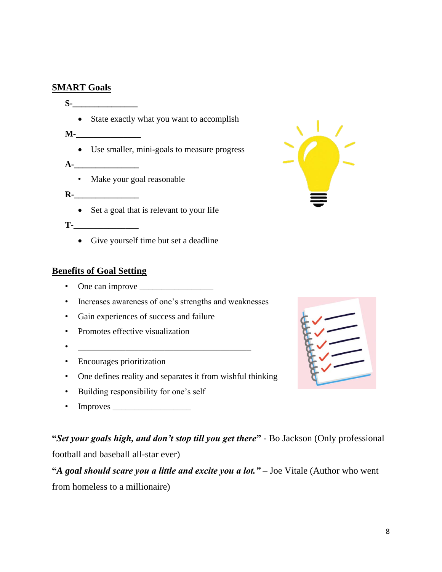## **SMART Goals**

**S-\_\_\_\_\_\_\_\_\_\_\_\_\_\_\_** • State exactly what you want to accomplish **M-\_\_\_\_\_\_\_\_\_\_\_\_\_\_\_** • Use smaller, mini-goals to measure progress **A-\_\_\_\_\_\_\_\_\_\_\_\_\_\_\_** • Make your goal reasonable **R-\_\_\_\_\_\_\_\_\_\_\_\_\_\_\_** • Set a goal that is relevant to your life

**T-\_\_\_\_\_\_\_\_\_\_\_\_\_\_\_**

• Give yourself time but set a deadline

## **Benefits of Goal Setting**

- One can improve \_\_\_\_\_\_\_\_\_\_\_\_\_\_\_\_\_
- Increases awareness of one's strengths and weaknesses
- Gain experiences of success and failure
- Promotes effective visualization
- $\overline{\phantom{a}}$  ,  $\overline{\phantom{a}}$  ,  $\overline{\phantom{a}}$  ,  $\overline{\phantom{a}}$  ,  $\overline{\phantom{a}}$  ,  $\overline{\phantom{a}}$  ,  $\overline{\phantom{a}}$  ,  $\overline{\phantom{a}}$  ,  $\overline{\phantom{a}}$  ,  $\overline{\phantom{a}}$  ,  $\overline{\phantom{a}}$  ,  $\overline{\phantom{a}}$  ,  $\overline{\phantom{a}}$  ,  $\overline{\phantom{a}}$  ,  $\overline{\phantom{a}}$  ,  $\overline{\phantom{a$
- Encourages prioritization
- One defines reality and separates it from wishful thinking
- Building responsibility for one's self
- Improves  $\_\_$

**"***Set your goals high, and don't stop till you get there***"** - Bo Jackson (Only professional football and baseball all-star ever)

**"***A goal should scare you a little and excite you a lot." –* Joe Vitale (Author who went from homeless to a millionaire)



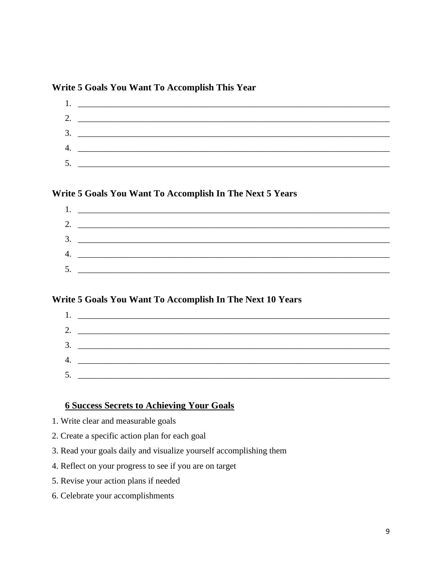## Write 5 Goals You Want To Accomplish This Year

|    | 2. $\qquad \qquad$          |
|----|-----------------------------|
|    |                             |
|    |                             |
|    | 4. $\overline{\phantom{a}}$ |
| 5. |                             |

## Write 5 Goals You Want To Accomplish In The Next 5 Years

| 2. $\overline{\phantom{a}}$ |
|-----------------------------|
| $\frac{3}{2}$               |
|                             |
|                             |
|                             |

## Write 5 Goals You Want To Accomplish In The Next 10 Years

|    | 1. <u>________________________________</u> |  |
|----|--------------------------------------------|--|
|    |                                            |  |
|    |                                            |  |
|    |                                            |  |
| 5. |                                            |  |
|    |                                            |  |

## **6 Success Secrets to Achieving Your Goals**

- 1. Write clear and measurable goals
- 2. Create a specific action plan for each goal
- 3. Read your goals daily and visualize yourself accomplishing them
- 4. Reflect on your progress to see if you are on target
- 5. Revise your action plans if needed
- 6. Celebrate your accomplishments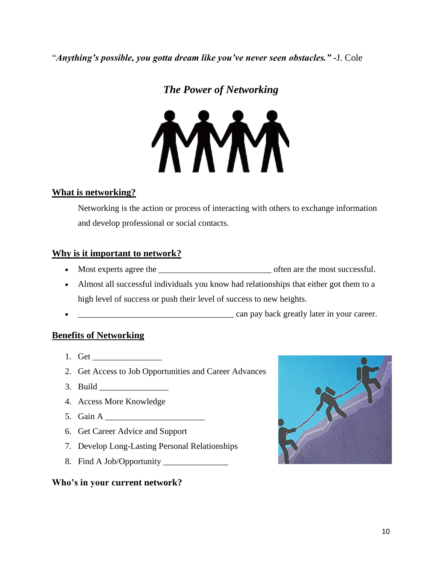"*Anything's possible, you gotta dream like you've never seen obstacles."* **-**J. Cole

# *The Power of Networking*



## **What is networking?**

Networking is the action or process of interacting with others to exchange information and develop professional or social contacts.

## **Why is it important to network?**

- Most experts agree the \_\_\_\_\_\_\_\_\_\_\_\_\_\_\_\_\_\_\_\_\_\_\_\_\_\_ often are the most successful.
- Almost all successful individuals you know had relationships that either got them to a high level of success or push their level of success to new heights.
- can pay back greatly later in your career.

## **Benefits of Networking**

- 1. Get \_\_\_\_\_\_\_\_\_\_\_\_\_\_\_\_
- 2. Get Access to Job Opportunities and Career Advances
- $3.$  Build
- 4. Access More Knowledge
- 5. Gain A \_\_\_\_\_\_\_\_\_\_\_\_\_\_\_\_\_\_\_\_\_\_\_
- 6. Get Career Advice and Support
- 7. Develop Long-Lasting Personal Relationships
- 8. Find A Job/Opportunity \_\_\_\_\_\_\_\_\_\_\_\_\_\_\_

## **Who's in your current network?**

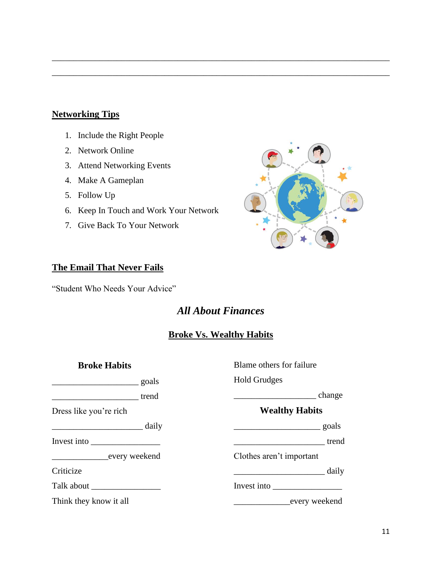## **Networking Tips**

- 1. Include the Right People
- 2. Network Online
- 3. Attend Networking Events
- 4. Make A Gameplan
- 5. Follow Up
- 6. Keep In Touch and Work Your Network
- 7. Give Back To Your Network



## **The Email That Never Fails**

"Student Who Needs Your Advice"

# *All About Finances*

\_\_\_\_\_\_\_\_\_\_\_\_\_\_\_\_\_\_\_\_\_\_\_\_\_\_\_\_\_\_\_\_\_\_\_\_\_\_\_\_\_\_\_\_\_\_\_\_\_\_\_\_\_\_\_\_\_\_\_\_\_\_\_\_\_\_\_\_\_\_\_\_\_\_\_\_\_\_

\_\_\_\_\_\_\_\_\_\_\_\_\_\_\_\_\_\_\_\_\_\_\_\_\_\_\_\_\_\_\_\_\_\_\_\_\_\_\_\_\_\_\_\_\_\_\_\_\_\_\_\_\_\_\_\_\_\_\_\_\_\_\_\_\_\_\_\_\_\_\_\_\_\_\_\_\_\_

## **Broke Vs. Wealthy Habits**

| <b>Broke Habits</b>                                                                      | Blame others for failure                                                                                                                                                                                                                                                                                                                                                                                               |
|------------------------------------------------------------------------------------------|------------------------------------------------------------------------------------------------------------------------------------------------------------------------------------------------------------------------------------------------------------------------------------------------------------------------------------------------------------------------------------------------------------------------|
| $\frac{\qquad \qquad}{\qquad \qquad}$ goals                                              | <b>Hold Grudges</b>                                                                                                                                                                                                                                                                                                                                                                                                    |
| trend                                                                                    | change                                                                                                                                                                                                                                                                                                                                                                                                                 |
| Dress like you're rich                                                                   | <b>Wealthy Habits</b>                                                                                                                                                                                                                                                                                                                                                                                                  |
| <u>__________________________</u> daily                                                  | $\frac{\phantom{aaaa}}{\phantom{aaaa}}$ goals                                                                                                                                                                                                                                                                                                                                                                          |
| Invest into $\frac{1}{\sqrt{1-\frac{1}{2}}}\left  \frac{1}{\sqrt{1-\frac{1}{2}}}\right $ | $\frac{1}{2}$ trend                                                                                                                                                                                                                                                                                                                                                                                                    |
| every weekend                                                                            | Clothes aren't important                                                                                                                                                                                                                                                                                                                                                                                               |
| Criticize                                                                                | daily<br><u> 1989 - Johann Barbara, martxa alemaniar a</u>                                                                                                                                                                                                                                                                                                                                                             |
|                                                                                          | Invest into $\frac{1}{\sqrt{1-\frac{1}{\sqrt{1-\frac{1}{\sqrt{1-\frac{1}{\sqrt{1-\frac{1}{\sqrt{1-\frac{1}{\sqrt{1-\frac{1}{\sqrt{1-\frac{1}{\sqrt{1-\frac{1}{\sqrt{1-\frac{1}{\sqrt{1-\frac{1}{\sqrt{1-\frac{1}{\sqrt{1-\frac{1}{\sqrt{1-\frac{1}{\sqrt{1-\frac{1}{\sqrt{1-\frac{1}{\sqrt{1-\frac{1}{\sqrt{1-\frac{1}{\sqrt{1-\frac{1}{\sqrt{1-\frac{1}{\sqrt{1-\frac{1}{\sqrt{1-\frac{1}{\sqrt{1-\frac{1}{\sqrt{1-\$ |
| Think they know it all                                                                   | every weekend                                                                                                                                                                                                                                                                                                                                                                                                          |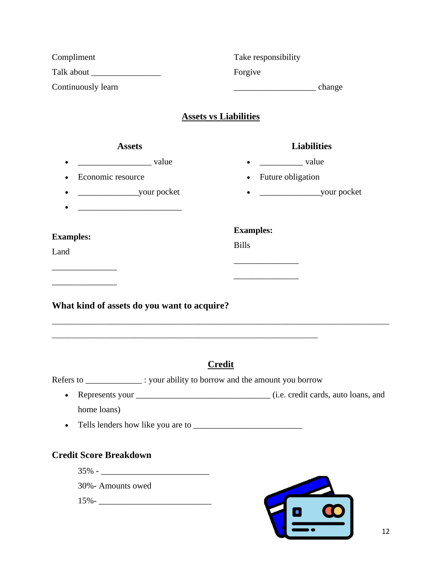| Compliment                                                                  | Take responsibility            |  |  |  |
|-----------------------------------------------------------------------------|--------------------------------|--|--|--|
|                                                                             | Forgive                        |  |  |  |
| Continuously learn                                                          | change change                  |  |  |  |
|                                                                             | <b>Assets vs Liabilities</b>   |  |  |  |
| <b>Assets</b>                                                               | <b>Liabilities</b>             |  |  |  |
| value                                                                       | value                          |  |  |  |
| Economic resource                                                           | Future obligation<br>$\bullet$ |  |  |  |
|                                                                             |                                |  |  |  |
|                                                                             | <b>Examples:</b>               |  |  |  |
| <b>Examples:</b><br>Land                                                    | <b>Bills</b>                   |  |  |  |
|                                                                             |                                |  |  |  |
|                                                                             |                                |  |  |  |
| What kind of assets do you want to acquire?                                 |                                |  |  |  |
| Refers to _______________: your ability to borrow and the amount you borrow | <b>Credit</b>                  |  |  |  |
| $\bullet$                                                                   |                                |  |  |  |
| home loans)                                                                 |                                |  |  |  |
| $\bullet$                                                                   |                                |  |  |  |
| <b>Credit Score Breakdown</b>                                               |                                |  |  |  |
|                                                                             |                                |  |  |  |
| 30%- Amounts owed                                                           |                                |  |  |  |
| $15\%$ -                                                                    | $\overline{a}$                 |  |  |  |
|                                                                             |                                |  |  |  |
|                                                                             | 12                             |  |  |  |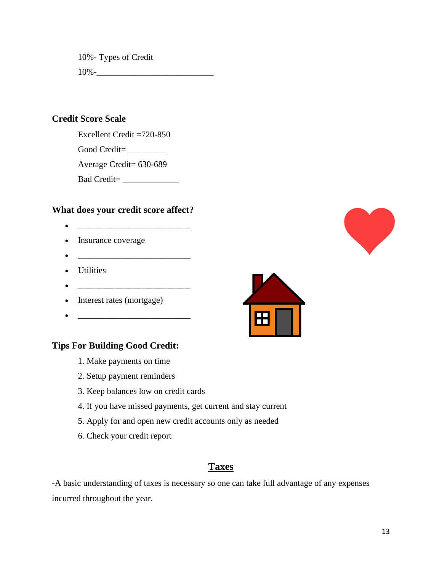10%- Types of Credit

 $10\%$ -

## **Credit Score Scale**

Excellent Credit =720-850

Good Credit=

Average Credit= 630-689

Bad Credit= \_\_\_\_\_\_\_\_\_\_\_\_\_

## **What does your credit score affect?**

- \_\_\_\_\_\_\_\_\_\_\_\_\_\_\_\_\_\_\_\_\_\_\_\_\_\_
- Insurance coverage
- \_\_\_\_\_\_\_\_\_\_\_\_\_\_\_\_\_\_\_\_\_\_\_\_\_\_
- Utilities
- \_\_\_\_\_\_\_\_\_\_\_\_\_\_\_\_\_\_\_\_\_\_\_\_\_\_
- Interest rates (mortgage)
- \_\_\_\_\_\_\_\_\_\_\_\_\_\_\_\_\_\_\_\_\_\_\_\_\_\_

## **Tips For Building Good Credit:**

- 1. Make payments on time
- 2. Setup payment reminders
- 3. Keep balances low on credit cards
- 4. If you have missed payments, get current and stay current
- 5. Apply for and open new credit accounts only as needed
- 6. Check your credit report

## **Taxes**

-A basic understanding of taxes is necessary so one can take full advantage of any expenses incurred throughout the year.



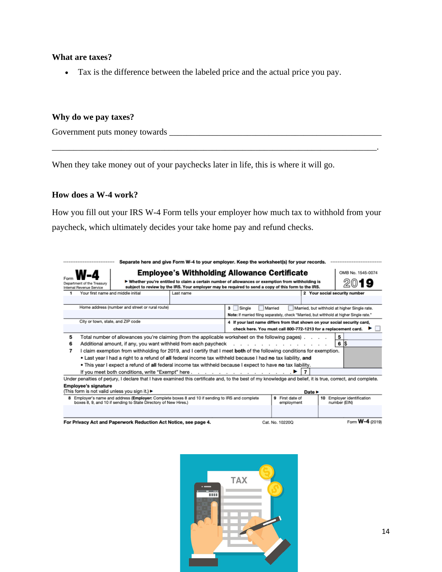#### **What are taxes?**

• Tax is the difference between the labeled price and the actual price you pay.

#### **Why do we pay taxes?**

Government puts money towards \_\_\_\_\_\_\_\_\_\_\_\_\_\_\_\_\_\_\_\_\_\_\_\_\_\_\_\_\_\_\_\_\_\_\_\_\_\_\_\_\_\_\_\_\_\_\_\_\_

When they take money out of your paychecks later in life, this is where it will go.

#### **How does a W-4 work?**

How you fill out your IRS W-4 Form tells your employer how much tax to withhold from your paycheck, which ultimately decides your take home pay and refund checks.

\_\_\_\_\_\_\_\_\_\_\_\_\_\_\_\_\_\_\_\_\_\_\_\_\_\_\_\_\_\_\_\_\_\_\_\_\_\_\_\_\_\_\_\_\_\_\_\_\_\_\_\_\_\_\_\_\_\_\_\_\_\_\_\_\_\_\_\_\_\_\_\_\_\_\_.

| Separate here and give Form W-4 to your employer. Keep the worksheet(s) for your records.<br><br>                                                                                                                                                 |                                                                                                                                                                                                                                                                     |                          |               |                                                                                          |  |  |  |
|---------------------------------------------------------------------------------------------------------------------------------------------------------------------------------------------------------------------------------------------------|---------------------------------------------------------------------------------------------------------------------------------------------------------------------------------------------------------------------------------------------------------------------|--------------------------|---------------|------------------------------------------------------------------------------------------|--|--|--|
|                                                                                                                                                                                                                                                   | <b>Employee's Withholding Allowance Certificate</b><br>OMB No. 1545-0074                                                                                                                                                                                            |                          |               |                                                                                          |  |  |  |
|                                                                                                                                                                                                                                                   | ► Whether you're entitled to claim a certain number of allowances or exemption from withholding is<br>Department of the Treasury<br>subject to review by the IRS. Your employer may be required to send a copy of this form to the IRS.<br>Internal Revenue Service |                          |               |                                                                                          |  |  |  |
|                                                                                                                                                                                                                                                   | Your first name and middle initial<br>Last name                                                                                                                                                                                                                     |                          |               | 2 Your social security number                                                            |  |  |  |
|                                                                                                                                                                                                                                                   |                                                                                                                                                                                                                                                                     |                          |               |                                                                                          |  |  |  |
|                                                                                                                                                                                                                                                   | Home address (number and street or rural route)                                                                                                                                                                                                                     | Single<br>3 <sup>1</sup> | Married       | Married, but withhold at higher Single rate.                                             |  |  |  |
|                                                                                                                                                                                                                                                   |                                                                                                                                                                                                                                                                     |                          |               | Note: If married filing separately, check "Married, but withhold at higher Single rate." |  |  |  |
|                                                                                                                                                                                                                                                   | City or town, state, and ZIP code                                                                                                                                                                                                                                   |                          |               | 4 If your last name differs from that shown on your social security card,                |  |  |  |
|                                                                                                                                                                                                                                                   |                                                                                                                                                                                                                                                                     |                          |               | check here. You must call 800-772-1213 for a replacement card.                           |  |  |  |
| 5                                                                                                                                                                                                                                                 | . Total number of allowances you're claiming (from the applicable worksheet on the following pages)                                                                                                                                                                 |                          |               | 5                                                                                        |  |  |  |
| 6                                                                                                                                                                                                                                                 | 6 S<br>Additional amount, if any, you want withheld from each paycheck                                                                                                                                                                                              |                          |               |                                                                                          |  |  |  |
|                                                                                                                                                                                                                                                   | I claim exemption from withholding for 2019, and I certify that I meet <b>both</b> of the following conditions for exemption.                                                                                                                                       |                          |               |                                                                                          |  |  |  |
|                                                                                                                                                                                                                                                   | • Last year I had a right to a refund of all federal income tax withheld because I had no tax liability, and                                                                                                                                                        |                          |               |                                                                                          |  |  |  |
|                                                                                                                                                                                                                                                   | • This year I expect a refund of all federal income tax withheld because I expect to have no tax liability.                                                                                                                                                         |                          |               |                                                                                          |  |  |  |
| 17<br>If you meet both conditions, write "Exempt" here ▶                                                                                                                                                                                          |                                                                                                                                                                                                                                                                     |                          |               |                                                                                          |  |  |  |
| Under penalties of perjury, I declare that I have examined this certificate and, to the best of my knowledge and belief, it is true, correct, and complete.                                                                                       |                                                                                                                                                                                                                                                                     |                          |               |                                                                                          |  |  |  |
| <b>Employee's signature</b>                                                                                                                                                                                                                       |                                                                                                                                                                                                                                                                     |                          |               |                                                                                          |  |  |  |
|                                                                                                                                                                                                                                                   | (This form is not valid unless you sign it.) ►                                                                                                                                                                                                                      |                          | Date <b>F</b> |                                                                                          |  |  |  |
| 8 Employer's name and address (Employer: Complete boxes 8 and 10 if sending to IRS and complete<br>10 Employer identification<br>9 First date of<br>boxes 8, 9, and 10 if sending to State Directory of New Hires.)<br>number (EIN)<br>employment |                                                                                                                                                                                                                                                                     |                          |               |                                                                                          |  |  |  |

For Privacy Act and Paperwork Reduction Act Notice, see page 4.

Cat. No. 10220Q

Form **W-4** (2019)

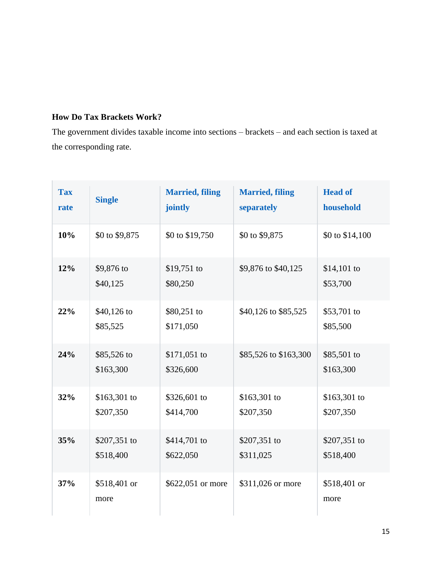## **How Do Tax Brackets Work?**

The government divides taxable income into sections – brackets – and each section is taxed at the corresponding rate.

| <b>Tax</b><br>rate | <b>Single</b>              | <b>Married, filing</b><br>jointly | <b>Married, filing</b><br>separately | <b>Head of</b><br>household |
|--------------------|----------------------------|-----------------------------------|--------------------------------------|-----------------------------|
| 10%                | \$0 to \$9,875             | \$0 to \$19,750                   | \$0 to \$9,875                       | \$0 to \$14,100             |
| 12%                | \$9,876 to<br>\$40,125     | $$19,751$ to<br>\$80,250          | \$9,876 to \$40,125                  | $$14,101$ to<br>\$53,700    |
| 22%                | $$40,126$ to<br>\$85,525   | \$80,251 to<br>\$171,050          | \$40,126 to \$85,525                 | \$53,701 to<br>\$85,500     |
| 24%                | \$85,526 to<br>\$163,300   | $$171,051$ to<br>\$326,600        | \$85,526 to \$163,300                | \$85,501 to<br>\$163,300    |
| 32%                | $$163,301$ to<br>\$207,350 | \$326,601 to<br>\$414,700         | $$163,301$ to<br>\$207,350           | $$163,301$ to<br>\$207,350  |
| 35%                | \$207,351 to<br>\$518,400  | \$414,701 to<br>\$622,050         | \$207,351 to<br>\$311,025            | \$207,351 to<br>\$518,400   |
| 37%                | \$518,401 or<br>more       | \$622,051 or more                 | \$311,026 or more                    | \$518,401 or<br>more        |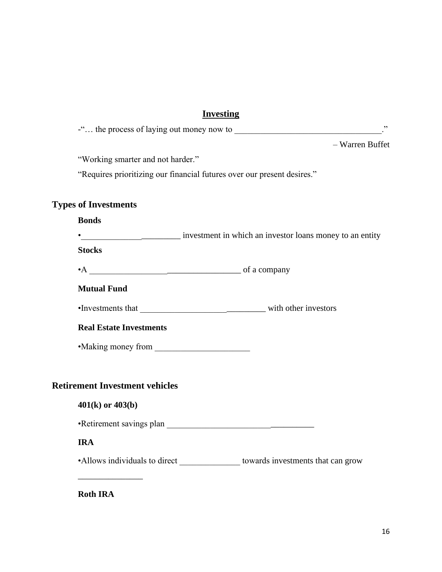## **Investing**

| - Warren Buffet                                                                   |  |
|-----------------------------------------------------------------------------------|--|
| "Working smarter and not harder."                                                 |  |
| "Requires prioritizing our financial futures over our present desires."           |  |
| <b>Types of Investments</b>                                                       |  |
| <b>Bonds</b>                                                                      |  |
|                                                                                   |  |
| <b>Stocks</b>                                                                     |  |
|                                                                                   |  |
| <b>Mutual Fund</b>                                                                |  |
|                                                                                   |  |
| <b>Real Estate Investments</b>                                                    |  |
| • Making money from                                                               |  |
| <b>Retirement Investment vehicles</b>                                             |  |
| $401(k)$ or $403(b)$                                                              |  |
|                                                                                   |  |
| <b>IRA</b>                                                                        |  |
| •Allows individuals to direct _________________ towards investments that can grow |  |
|                                                                                   |  |

**Roth IRA**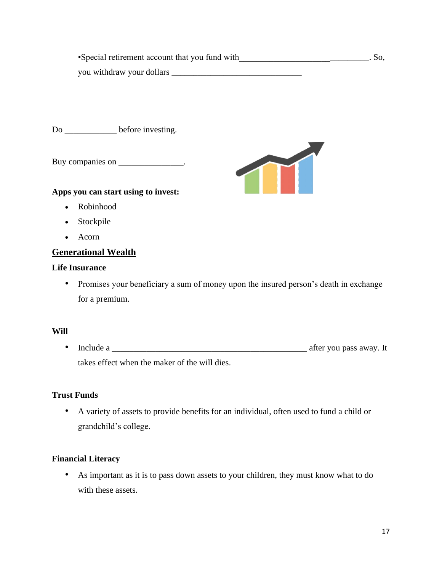•Special retirement account that you fund with \_\_\_\_\_\_\_\_\_\_\_\_\_\_\_\_\_\_\_. So, you withdraw your dollars

Do before investing.

Buy companies on \_\_\_\_\_\_\_\_\_\_\_\_\_\_.

#### **Apps you can start using to invest:**

- Robinhood
- Stockpile
- Acorn

## **Generational Wealth**

#### **Life Insurance**

• Promises your beneficiary a sum of money upon the insured person's death in exchange for a premium.

#### **Will**

• Include a \_\_\_\_\_\_\_\_\_\_\_\_\_\_\_\_\_\_\_\_\_\_\_\_\_\_\_\_\_\_\_\_\_\_\_\_\_\_\_\_\_\_\_\_\_ after you pass away. It takes effect when the maker of the will dies.

#### **Trust Funds**

• A variety of assets to provide benefits for an individual, often used to fund a child or grandchild's college.

#### **Financial Literacy**

• As important as it is to pass down assets to your children, they must know what to do with these assets.

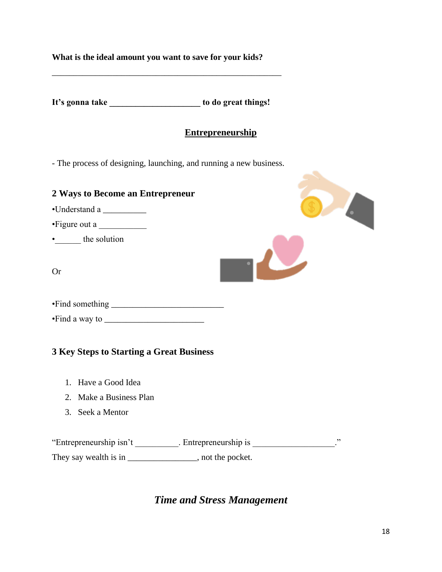| What is the ideal amount you want to save for your kids? |  |  |  |  |
|----------------------------------------------------------|--|--|--|--|
|                                                          |  |  |  |  |

**It's gonna take \_\_\_\_\_\_\_\_\_\_\_\_\_\_\_\_\_\_\_\_\_ to do great things!**

\_\_\_\_\_\_\_\_\_\_\_\_\_\_\_\_\_\_\_\_\_\_\_\_\_\_\_\_\_\_\_\_\_\_\_\_\_\_\_\_\_\_\_\_\_\_\_\_\_\_\_\_\_

## **Entrepreneurship**

 $\mathcal{L}_{\mathcal{A}}$ 

- The process of designing, launching, and running a new business.

| 2 Ways to Become an Entrepreneur         |  |
|------------------------------------------|--|
| •Understand a                            |  |
| • Figure out a                           |  |
| • the solution                           |  |
| <b>Or</b>                                |  |
|                                          |  |
|                                          |  |
| 3 Key Steps to Starting a Great Business |  |
| Have a Good Idea<br>1.                   |  |
| 2. Make a Business Plan                  |  |

3. Seek a Mentor

"Entrepreneurship isn't \_\_\_\_\_\_\_\_\_\_. Entrepreneurship is \_\_\_\_\_\_\_\_\_\_\_\_\_\_\_\_\_\_\_." They say wealth is in \_\_\_\_\_\_\_\_\_\_\_\_\_\_\_\_, not the pocket.

# *Time and Stress Management*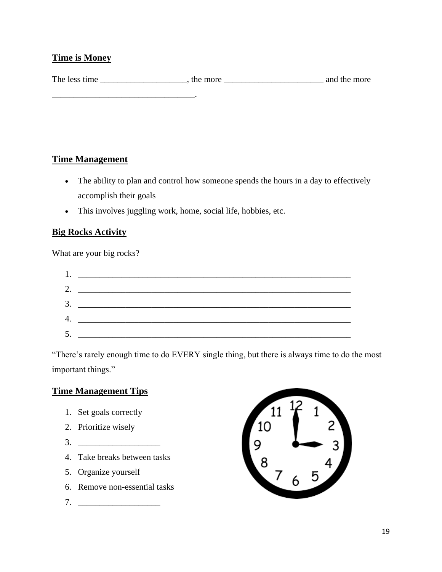## **Time is Money**

| The less time | the more | and the more |
|---------------|----------|--------------|
|               |          |              |
|               |          |              |

## **Time Management**

- The ability to plan and control how someone spends the hours in a day to effectively accomplish their goals
- This involves juggling work, home, social life, hobbies, etc.

## **Big Rocks Activity**

What are your big rocks?

"There's rarely enough time to do EVERY single thing, but there is always time to do the most important things."

## **Time Management Tips**

- 1. Set goals correctly
- 2. Prioritize wisely
- 3. \_\_\_\_\_\_\_\_\_\_\_\_\_\_\_\_\_\_\_
- 4. Take breaks between tasks
- 5. Organize yourself
- 6. Remove non-essential tasks
- 7. \_\_\_\_\_\_\_\_\_\_\_\_\_\_\_\_\_\_\_

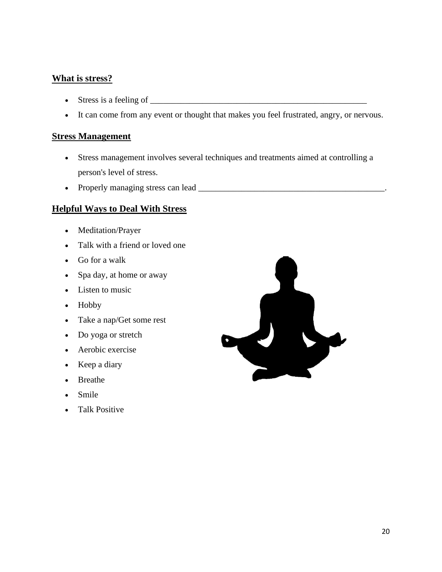## **What is stress?**

- Stress is a feeling of  $\Box$
- It can come from any event or thought that makes you feel frustrated, angry, or nervous.

#### **Stress Management**

- Stress management involves several techniques and treatments aimed at controlling a person's level of stress.
- Properly managing stress can lead \_\_\_\_\_\_\_\_\_\_\_\_\_\_\_\_\_\_\_\_\_\_\_\_\_\_\_\_\_\_\_\_\_\_\_\_\_\_\_\_\_\_\_.

#### **Helpful Ways to Deal With Stress**

- Meditation/Prayer
- Talk with a friend or loved one
- Go for a walk
- Spa day, at home or away
- Listen to music
- Hobby
- Take a nap/Get some rest
- Do yoga or stretch
- Aerobic exercise
- Keep a diary
- Breathe
- Smile
- Talk Positive

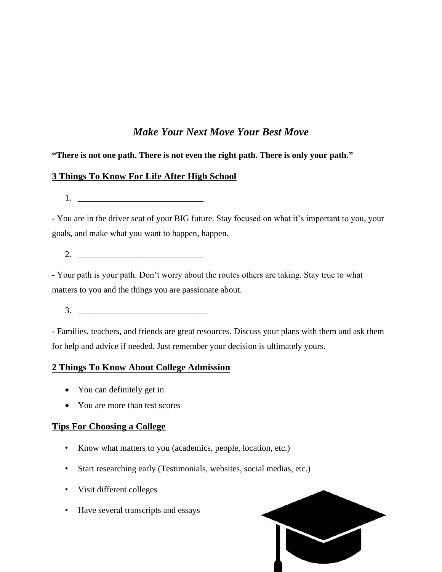# *Make Your Next Move Your Best Move*

## **"There is not one path. There is not even the right path. There is only your path."**

## **3 Things To Know For Life After High School**

 $1.$ 

- You are in the driver seat of your BIG future. Stay focused on what it's important to you, your goals, and make what you want to happen, happen.

2. \_\_\_\_\_\_\_\_\_\_\_\_\_\_\_\_\_\_\_\_\_\_\_\_\_\_\_\_\_

- Your path is your path. Don't worry about the routes others are taking. Stay true to what matters to you and the things you are passionate about.

 $3.$ 

- Families, teachers, and friends are great resources. Discuss your plans with them and ask them for help and advice if needed. Just remember your decision is ultimately yours.

## **2 Things To Know About College Admission**

- You can definitely get in
- You are more than test scores

## **Tips For Choosing a College**

- Know what matters to you (academics, people, location, etc.)
- Start researching early (Testimonials, websites, social medias, etc.)
- Visit different colleges
- Have several transcripts and essays

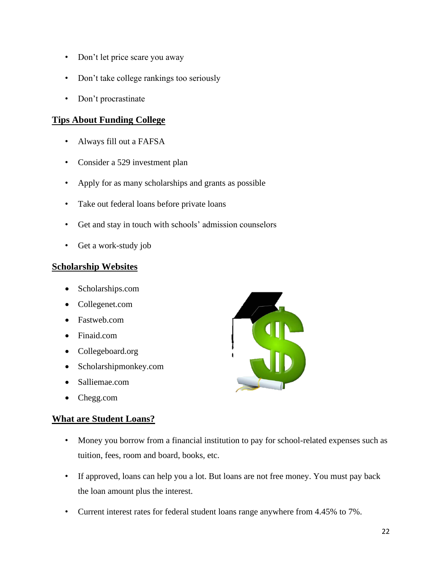- Don't let price scare you away
- Don't take college rankings too seriously
- Don't procrastinate

## **Tips About Funding College**

- Always fill out a FAFSA
- Consider a 529 investment plan
- Apply for as many scholarships and grants as possible
- Take out federal loans before private loans
- Get and stay in touch with schools' admission counselors
- Get a work-study job

## **Scholarship Websites**

- Scholarships.com
- Collegenet.com
- Fastweb.com
- Finaid.com
- Collegeboard.org
- Scholarshipmonkey.com
- Salliemae.com
- Chegg.com

## **What are Student Loans?**

- Money you borrow from a financial institution to pay for school-related expenses such as tuition, fees, room and board, books, etc.
- If approved, loans can help you a lot. But loans are not free money. You must pay back the loan amount plus the interest.
- Current interest rates for federal student loans range anywhere from 4.45% to 7%.

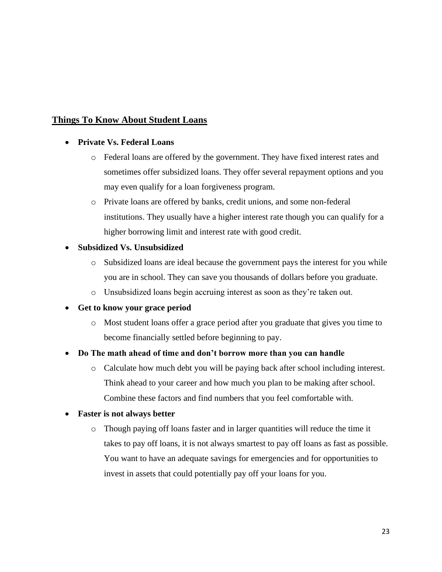## **Things To Know About Student Loans**

#### • **Private Vs. Federal Loans**

- o Federal loans are offered by the government. They have fixed interest rates and sometimes offer subsidized loans. They offer several repayment options and you may even qualify for a loan forgiveness program.
- o Private loans are offered by banks, credit unions, and some non-federal institutions. They usually have a higher interest rate though you can qualify for a higher borrowing limit and interest rate with good credit.

#### • **Subsidized Vs. Unsubsidized**

- o Subsidized loans are ideal because the government pays the interest for you while you are in school. They can save you thousands of dollars before you graduate.
- o Unsubsidized loans begin accruing interest as soon as they're taken out.

#### • **Get to know your grace period**

o Most student loans offer a grace period after you graduate that gives you time to become financially settled before beginning to pay.

#### • **Do The math ahead of time and don't borrow more than you can handle**

o Calculate how much debt you will be paying back after school including interest. Think ahead to your career and how much you plan to be making after school. Combine these factors and find numbers that you feel comfortable with.

#### • **Faster is not always better**

o Though paying off loans faster and in larger quantities will reduce the time it takes to pay off loans, it is not always smartest to pay off loans as fast as possible. You want to have an adequate savings for emergencies and for opportunities to invest in assets that could potentially pay off your loans for you.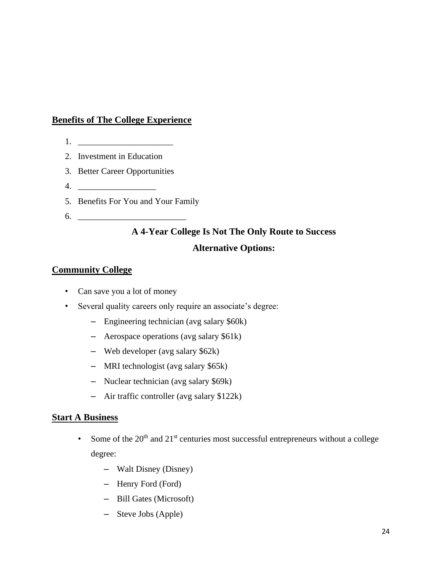## **Benefits of The College Experience**

- $1.$
- 2. Investment in Education
- 3. Better Career Opportunities
- 4. \_\_\_\_\_\_\_\_\_\_\_\_\_\_\_\_\_\_
- 5. Benefits For You and Your Family
- 6. \_\_\_\_\_\_\_\_\_\_\_\_\_\_\_\_\_\_\_\_\_\_\_\_\_

# **A 4-Year College Is Not The Only Route to Success Alternative Options:**

#### **Community College**

- Can save you a lot of money
- Several quality careers only require an associate's degree:
	- Engineering technician (avg salary \$60k)
	- Aerospace operations (avg salary \$61k)
	- Web developer (avg salary \$62k)
	- MRI technologist (avg salary \$65k)
	- Nuclear technician (avg salary \$69k)
	- Air traffic controller (avg salary \$122k)

#### **Start A Business**

- Some of the  $20<sup>th</sup>$  and  $21<sup>st</sup>$  centuries most successful entrepreneurs without a college degree:
	- Walt Disney (Disney)
	- Henry Ford (Ford)
	- Bill Gates (Microsoft)
	- Steve Jobs (Apple)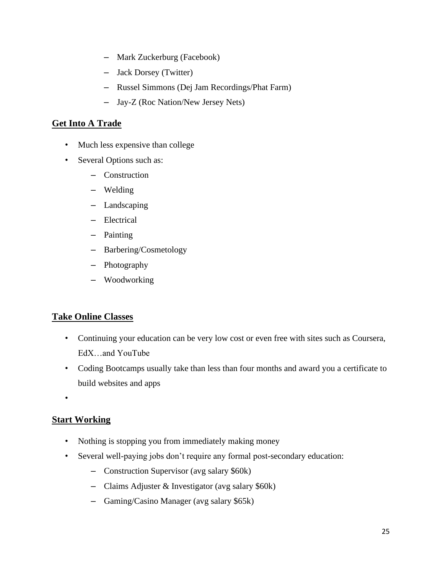- Mark Zuckerburg (Facebook)
- Jack Dorsey (Twitter)
- Russel Simmons (Dej Jam Recordings/Phat Farm)
- Jay-Z (Roc Nation/New Jersey Nets)

## **Get Into A Trade**

- Much less expensive than college
- Several Options such as:
	- Construction
	- Welding
	- Landscaping
	- Electrical
	- Painting
	- Barbering/Cosmetology
	- Photography
	- Woodworking

## **Take Online Classes**

- Continuing your education can be very low cost or even free with sites such as Coursera, EdX…and YouTube
- Coding Bootcamps usually take than less than four months and award you a certificate to build websites and apps

•

## **Start Working**

- Nothing is stopping you from immediately making money
- Several well-paying jobs don't require any formal post-secondary education:
	- Construction Supervisor (avg salary \$60k)
	- Claims Adjuster & Investigator (avg salary \$60k)
	- Gaming/Casino Manager (avg salary \$65k)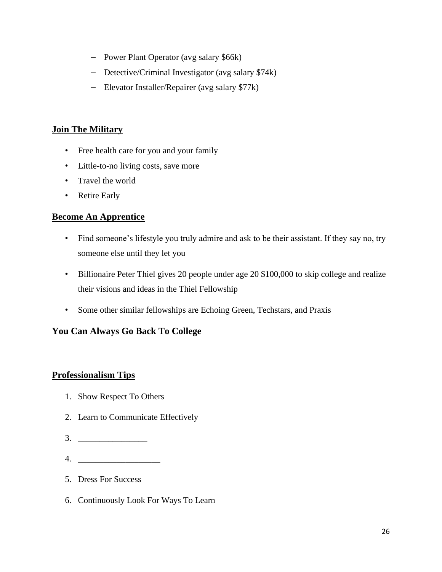- Power Plant Operator (avg salary \$66k)
- Detective/Criminal Investigator (avg salary \$74k)
- Elevator Installer/Repairer (avg salary \$77k)

## **Join The Military**

- Free health care for you and your family
- Little-to-no living costs, save more
- Travel the world
- Retire Early

## **Become An Apprentice**

- Find someone's lifestyle you truly admire and ask to be their assistant. If they say no, try someone else until they let you
- Billionaire Peter Thiel gives 20 people under age 20 \$100,000 to skip college and realize their visions and ideas in the Thiel Fellowship
- Some other similar fellowships are Echoing Green, Techstars, and Praxis

## **You Can Always Go Back To College**

## **Professionalism Tips**

- 1. Show Respect To Others
- 2. Learn to Communicate Effectively
- $3.$
- $4.$
- 5. Dress For Success
- 6. Continuously Look For Ways To Learn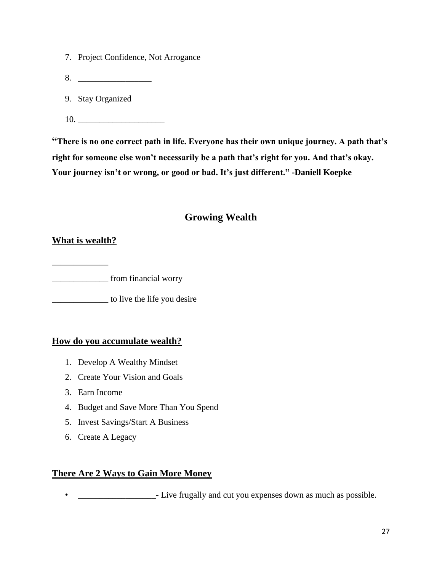- 7. Project Confidence, Not Arrogance
- 8. \_\_\_\_\_\_\_\_\_\_\_\_\_\_\_\_\_
- 9. Stay Organized
- 10. \_\_\_\_\_\_\_\_\_\_\_\_\_\_\_\_\_\_\_\_

**"There is no one correct path in life. Everyone has their own unique journey. A path that's right for someone else won't necessarily be a path that's right for you. And that's okay. Your journey isn't or wrong, or good or bad. It's just different." -Daniell Koepke**

## **Growing Wealth**

## **What is wealth?**

\_\_\_\_\_\_\_\_\_\_\_\_\_ \_\_\_\_\_\_\_\_\_\_\_\_\_ from financial worry

\_\_\_\_\_\_\_\_\_\_\_\_\_ to live the life you desire

## **How do you accumulate wealth?**

- 1. Develop A Wealthy Mindset
- 2. Create Your Vision and Goals
- 3. Earn Income
- 4. Budget and Save More Than You Spend
- 5. Invest Savings/Start A Business
- 6. Create A Legacy

## **There Are 2 Ways to Gain More Money**

**• \_\_\_\_\_\_\_\_\_\_\_\_\_\_\_\_\_\_\_\_** - Live frugally and cut you expenses down as much as possible.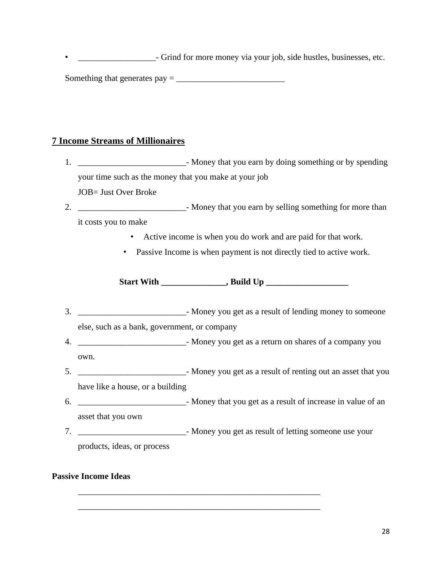**• \_\_\_\_\_\_\_\_\_\_\_\_\_\_\_\_\_\_\_\_\_**- Grind for more money via your job, side hustles, businesses, etc.

Something that generates pay = \_\_\_\_\_\_\_\_\_\_\_\_\_\_\_\_\_\_\_\_\_\_\_\_\_

## **7 Income Streams of Millionaires**

1. \_\_\_\_\_\_\_\_\_\_\_\_\_\_\_\_\_\_\_\_\_\_\_\_\_- Money that you earn by doing something or by spending your time such as the money that you make at your job JOB= Just Over Broke 2. Show that you earn by selling something for more than it costs you to make • Active income is when you do work and are paid for that work. • Passive Income is when payment is not directly tied to active work. **Start With \_\_\_\_\_\_\_\_\_\_\_\_\_\_\_, Build Up \_\_\_\_\_\_\_\_\_\_\_\_\_\_\_\_\_\_\_** 3. \_\_\_\_\_\_\_\_\_\_\_\_\_\_\_\_\_\_\_\_\_\_\_\_\_- Money you get as a result of lending money to someone else, such as a bank, government, or company 4. \_\_\_\_\_\_\_\_\_\_\_\_\_\_\_\_\_\_\_\_\_\_\_\_\_- Money you get as a return on shares of a company you own. 5. \_\_\_\_\_\_\_\_\_\_\_\_\_\_\_\_\_\_\_\_\_\_\_\_\_- Money you get as a result of renting out an asset that you have like a house, or a building 6. \_\_\_\_\_\_\_\_\_\_\_\_\_\_\_\_\_\_\_\_\_\_\_\_\_- Money that you get as a result of increase in value of an asset that you own 7. \_\_\_\_\_\_\_\_\_\_\_\_\_\_\_\_\_\_\_\_\_\_\_\_\_- Money you get as result of letting someone use your products, ideas, or process

\_\_\_\_\_\_\_\_\_\_\_\_\_\_\_\_\_\_\_\_\_\_\_\_\_\_\_\_\_\_\_\_\_\_\_\_\_\_\_\_\_\_\_\_\_\_\_\_\_\_\_\_\_\_\_\_

\_\_\_\_\_\_\_\_\_\_\_\_\_\_\_\_\_\_\_\_\_\_\_\_\_\_\_\_\_\_\_\_\_\_\_\_\_\_\_\_\_\_\_\_\_\_\_\_\_\_\_\_\_\_\_\_

#### **Passive Income Ideas**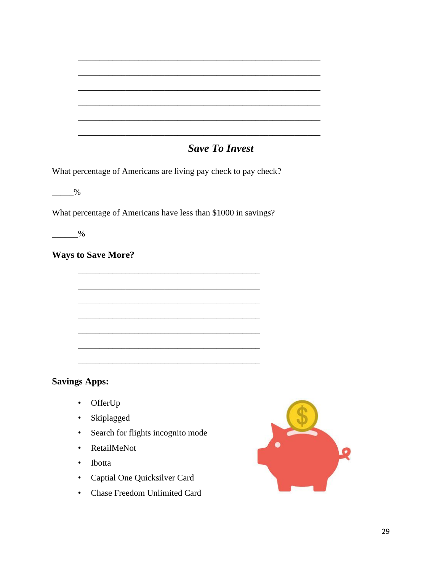# **Save To Invest**

What percentage of Americans are living pay check to pay check?

 $\frac{9}{6}$ 

What percentage of Americans have less than \$1000 in savings?

 $\frac{9}{2}$ 

**Ways to Save More?** 

## **Savings Apps:**

- OfferUp
- Skiplagged
- Search for flights incognito mode
- RetailMeNot
- Ibotta
- Captial One Quicksilver Card
- Chase Freedom Unlimited Card

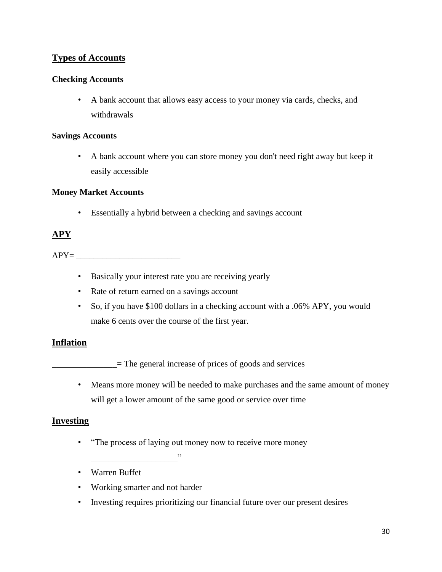## **Types of Accounts**

#### **Checking Accounts**

• A bank account that allows easy access to your money via cards, checks, and withdrawals

#### **Savings Accounts**

• A bank account where you can store money you don't need right away but keep it easily accessible

#### **Money Market Accounts**

• Essentially a hybrid between a checking and savings account

## **APY**

 $APY=$ 

- Basically your interest rate you are receiving yearly
- Rate of return earned on a savings account
- So, if you have \$100 dollars in a checking account with a .06% APY, you would make 6 cents over the course of the first year.

#### **Inflation**

**\_\_\_\_\_\_\_\_\_\_\_\_\_** = The general increase of prices of goods and services

• Means more money will be needed to make purchases and the same amount of money will get a lower amount of the same good or service over time

#### **Investing**

- "The process of laying out money now to receive more money
- Warren Buffet
- Working smarter and not harder

 $\overline{\phantom{a}}$ 

• Investing requires prioritizing our financial future over our present desires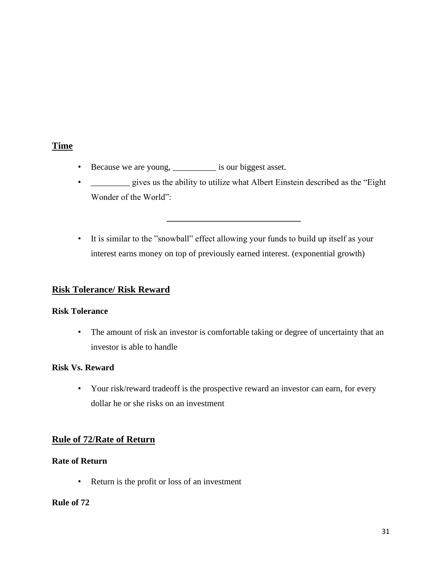## **Time**

- Because we are young, \_\_\_\_\_\_\_\_\_\_ is our biggest asset.
- \_\_\_\_\_\_\_\_\_\_ gives us the ability to utilize what Albert Einstein described as the "Eight" Wonder of the World":

**\_\_\_\_\_\_\_\_\_\_\_\_\_\_\_\_\_\_\_\_\_\_\_\_\_\_\_\_\_\_\_**

• It is similar to the "snowball" effect allowing your funds to build up itself as your interest earns money on top of previously earned interest. (exponential growth)

#### **Risk Tolerance/ Risk Reward**

#### **Risk Tolerance**

• The amount of risk an investor is comfortable taking or degree of uncertainty that an investor is able to handle

#### **Risk Vs. Reward**

• Your risk/reward tradeoff is the prospective reward an investor can earn, for every dollar he or she risks on an investment

#### **Rule of 72/Rate of Return**

#### **Rate of Return**

• Return is the profit or loss of an investment

#### **Rule of 72**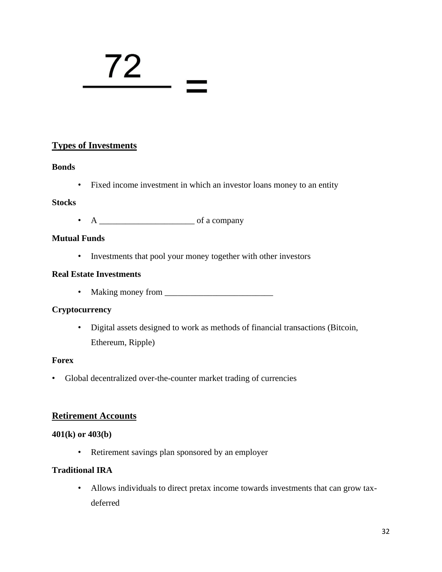# 72  $\overline{z}$

## **Types of Investments**

#### **Bonds**

• Fixed income investment in which an investor loans money to an entity

#### **Stocks**

• A \_\_\_\_\_\_\_\_\_\_\_\_\_\_\_\_\_\_\_\_\_\_ of a company

#### **Mutual Funds**

• Investments that pool your money together with other investors

#### **Real Estate Investments**

• Making money from \_\_\_\_\_\_\_\_\_\_\_\_\_\_\_\_\_\_\_\_\_\_\_\_\_

#### **Cryptocurrency**

• Digital assets designed to work as methods of financial transactions (Bitcoin, Ethereum, Ripple)

#### **Forex**

• Global decentralized over-the-counter market trading of currencies

#### **Retirement Accounts**

#### **401(k) or 403(b)**

• Retirement savings plan sponsored by an employer

#### **Traditional IRA**

• Allows individuals to direct pretax income towards investments that can grow taxdeferred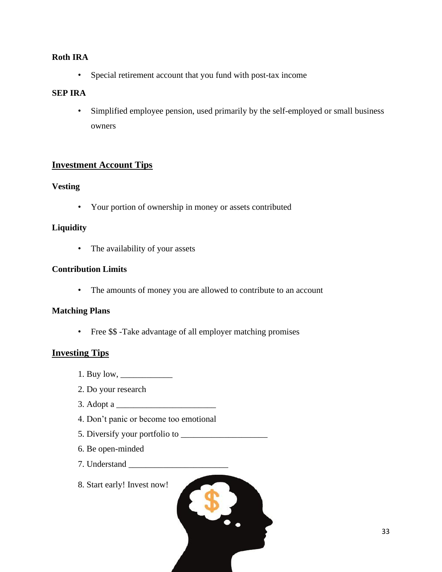#### **Roth IRA**

• Special retirement account that you fund with post-tax income

#### **SEP IRA**

• Simplified employee pension, used primarily by the self-employed or small business owners

## **Investment Account Tips**

#### **Vesting**

• Your portion of ownership in money or assets contributed

#### **Liquidity**

• The availability of your assets

#### **Contribution Limits**

• The amounts of money you are allowed to contribute to an account

#### **Matching Plans**

• Free \$\$ -Take advantage of all employer matching promises

#### **Investing Tips**

- 1. Buy low, \_\_\_\_\_\_\_\_\_\_\_\_
- 2. Do your research
- 3. Adopt a \_\_\_\_\_\_\_\_\_\_\_\_\_\_\_\_\_\_\_\_\_\_\_
- 4. Don't panic or become too emotional
- 5. Diversify your portfolio to \_\_\_\_\_\_\_\_\_\_\_\_\_\_\_\_\_\_\_\_
- 6. Be open-minded
- 7. Understand \_\_\_\_\_\_\_\_\_\_\_\_\_\_\_\_\_\_\_\_\_\_\_
- 8. Start early! Invest now!